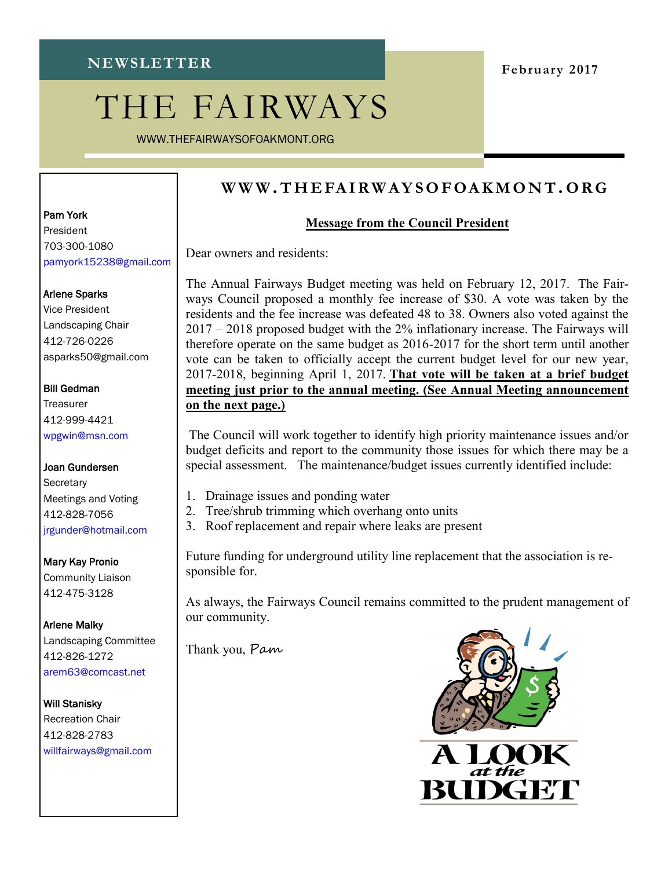# THE FAIRWAYS

WWW.THEFAIRWAYSOFOAKMONT.ORG

## **February 2017**

## **WWW .T H E FA I R W A Y S O F OA K M O N T.O R G**

### **Message from the Council President**

Dear owners and residents:

The Annual Fairways Budget meeting was held on February 12, 2017. The Fairways Council proposed a monthly fee increase of \$30. A vote was taken by the residents and the fee increase was defeated 48 to 38. Owners also voted against the 2017 – 2018 proposed budget with the 2% inflationary increase. The Fairways will therefore operate on the same budget as 2016-2017 for the short term until another vote can be taken to officially accept the current budget level for our new year, 2017-2018, beginning April 1, 2017. **That vote will be taken at a brief budget meeting just prior to the annual meeting. (See Annual Meeting announcement on the next page.)**

The Council will work together to identify high priority maintenance issues and/or budget deficits and report to the community those issues for which there may be a special assessment. The maintenance/budget issues currently identified include:

- 1. Drainage issues and ponding water
- 2. Tree/shrub trimming which overhang onto units
- 3. Roof replacement and repair where leaks are present

Future funding for underground utility line replacement that the association is responsible for.

As always, the Fairways Council remains committed to the prudent management of our community.

Thank you, Pam



# Pam York

President 703-300-1080 pamyork15238@gmail.com

#### Arlene Sparks

Vice President Landscaping Chair 412-726-0226 asparks50@gmail.com

#### Bill Gedman

**Treasurer** 412-999-4421 wpgwin@msn.com

Joan Gundersen **Secretary** Meetings and Voting 412-828-7056 jrgunder@hotmail.com

Mary Kay Pronio Community Liaison 412-475-3128

Arlene Malky Landscaping Committee 412-826-1272 arem63@comcast.net

Will Stanisky

Recreation Chair 412-828-2783 willfairways@gmail.com